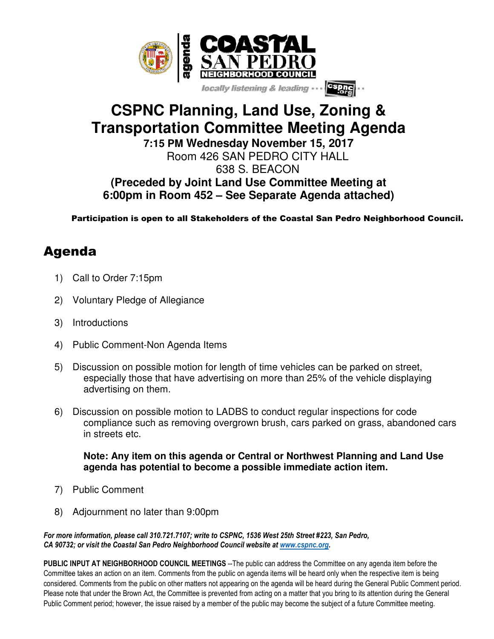

# **CSPNC Planning, Land Use, Zoning & Transportation Committee Meeting Agenda**

**7:15 PM Wednesday November 15, 2017** Room 426 SAN PEDRO CITY HALL

638 S. BEACON

**(Preceded by Joint Land Use Committee Meeting at 6:00pm in Room 452 – See Separate Agenda attached)**

Participation is open to all Stakeholders of the Coastal San Pedro Neighborhood Council.

### Agenda

- 1) Call to Order 7:15pm
- 2) Voluntary Pledge of Allegiance
- 3) Introductions
- 4) Public Comment-Non Agenda Items
- 5) Discussion on possible motion for length of time vehicles can be parked on street, especially those that have advertising on more than 25% of the vehicle displaying advertising on them.
- 6) Discussion on possible motion to LADBS to conduct regular inspections for code compliance such as removing overgrown brush, cars parked on grass, abandoned cars in streets etc.

### **Note: Any item on this agenda or Central or Northwest Planning and Land Use agenda has potential to become a possible immediate action item.**

- 7) Public Comment
- 8) Adjournment no later than 9:00pm

*For more information, please call 310.721.7107; write to CSPNC, 1536 West 25th Street #223, San Pedro, CA 90732; or visit the Coastal San Pedro Neighborhood Council website at www.cspnc.org.* 

PUBLIC INPUT AT NEIGHBORHOOD COUNCIL MEETINGS --The public can address the Committee on any agenda item before the Committee takes an action on an item. Comments from the public on agenda items will be heard only when the respective item is being considered. Comments from the public on other matters not appearing on the agenda will be heard during the General Public Comment period. Please note that under the Brown Act, the Committee is prevented from acting on a matter that you bring to its attention during the General Public Comment period; however, the issue raised by a member of the public may become the subject of a future Committee meeting.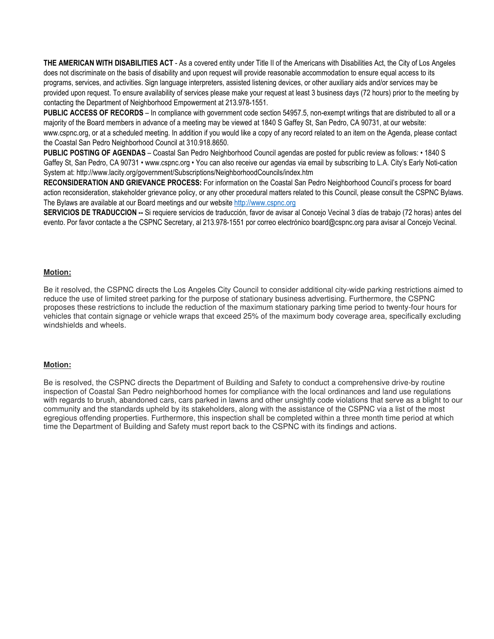**THE AMERICAN WITH DISABILITIES ACT** - As a covered entity under Title II of the Americans with Disabilities Act, the City of Los Angeles does not discriminate on the basis of disability and upon request will provide reasonable accommodation to ensure equal access to its programs, services, and activities. Sign language interpreters, assisted listening devices, or other auxiliary aids and/or services may be provided upon request. To ensure availability of services please make your request at least 3 business days (72 hours) prior to the meeting by contacting the Department of Neighborhood Empowerment at 213.978-1551.

**PUBLIC ACCESS OF RECORDS** – In compliance with government code section 54957.5, non-exempt writings that are distributed to all or a majority of the Board members in advance of a meeting may be viewed at 1840 S Gaffey St, San Pedro, CA 90731, at our website: www.cspnc.org, or at a scheduled meeting. In addition if you would like a copy of any record related to an item on the Agenda, please contact the Coastal San Pedro Neighborhood Council at 310.918.8650.

**PUBLIC POSTING OF AGENDAS** – Coastal San Pedro Neighborhood Council agendas are posted for public review as follows: • 1840 S Gaffey St, San Pedro, CA 90731 • www.cspnc.org • You can also receive our agendas via email by subscribing to L.A. City's Early Noti-cation System at: http://www.lacity.org/government/Subscriptions/NeighborhoodCouncils/index.htm

**RECONSIDERATION AND GRIEVANCE PROCESS:** For information on the Coastal San Pedro Neighborhood Council's process for board action reconsideration, stakeholder grievance policy, or any other procedural matters related to this Council, please consult the CSPNC Bylaws. The Bylaws are available at our Board meetings and our website http://www.cspnc.org

**SERVICIOS DE TRADUCCION --** Si requiere servicios de traducción, favor de avisar al Concejo Vecinal 3 días de trabajo (72 horas) antes del evento. Por favor contacte a the CSPNC Secretary, al 213.978-1551 por correo electrónico board@cspnc.org para avisar al Concejo Vecinal.

#### **Motion:**

Be it resolved, the CSPNC directs the Los Angeles City Council to consider additional city-wide parking restrictions aimed to reduce the use of limited street parking for the purpose of stationary business advertising. Furthermore, the CSPNC proposes these restrictions to include the reduction of the maximum stationary parking time period to twenty-four hours for vehicles that contain signage or vehicle wraps that exceed 25% of the maximum body coverage area, specifically excluding windshields and wheels.

#### **Motion:**

Be is resolved, the CSPNC directs the Department of Building and Safety to conduct a comprehensive drive-by routine inspection of Coastal San Pedro neighborhood homes for compliance with the local ordinances and land use regulations with regards to brush, abandoned cars, cars parked in lawns and other unsightly code violations that serve as a blight to our community and the standards upheld by its stakeholders, along with the assistance of the CSPNC via a list of the most egregious offending properties. Furthermore, this inspection shall be completed within a three month time period at which time the Department of Building and Safety must report back to the CSPNC with its findings and actions.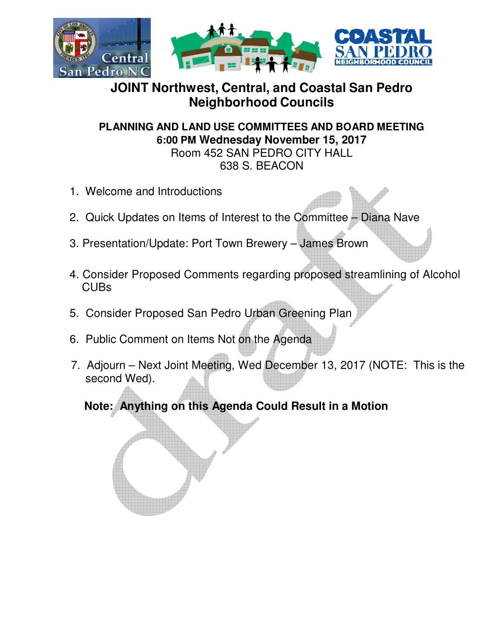

## **JOINT Northwest, Central, and Coastal San Pedro Neighborhood Councils**

**PLANNING AND LAND USE COMMITTEES AND BOARD MEETING 6:00 PM Wednesday November 15, 2017**

Room 452 SAN PEDRO CITY HALL 638 S. BEACON

- 1. Welcome and Introductions
- 2. Quick Updates on Items of Interest to the Committee Diana Nave
- 3. Presentation/Update: Port Town Brewery James Brown
- 4. Consider Proposed Comments regarding proposed streamlining of Alcohol CUBs
- 5. Consider Proposed San Pedro Urban Greening Plan
- 6. Public Comment on Items Not on the Agenda
- 7. Adjourn Next Joint Meeting, Wed December 13, 2017 (NOTE: This is the second Wed).

**Note: Anything on this Agenda Could Result in a Motion**